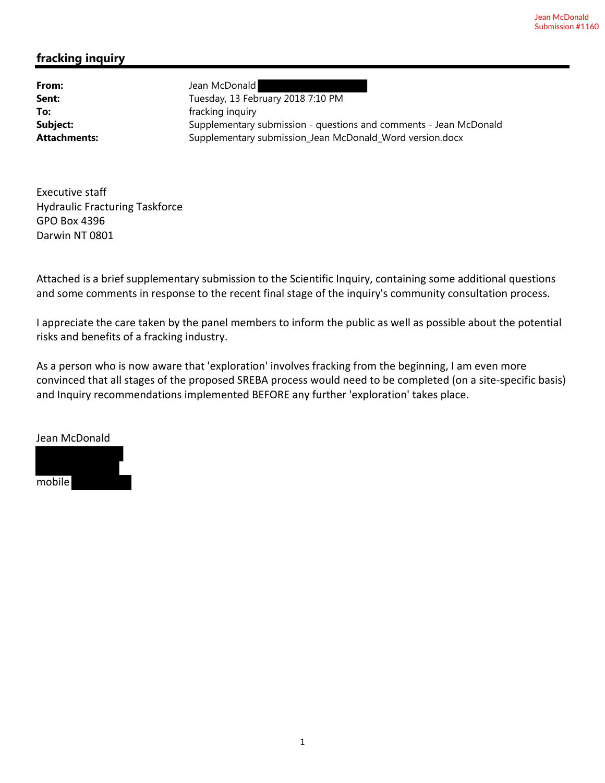## **fracking inquiry**

**From:** Jean McDonald Sent: Tuesday, 13 February 2018 7:10 PM **To: Fracking inquiry fracking inquiry Subject:** Supplementary submission - questions and comments - Jean McDonald Attachments: **Supplementary submission\_Jean McDonald\_Word version.docx** 

Executive staff Hydraulic Fracturing Taskforce GPO Box 4396 Darwin NT 0801

Attached is a brief supplementary submission to the Scientific Inquiry, containing some additional questions and some comments in response to the recent final stage of the inquiry's community consultation process.

I appreciate the care taken by the panel members to inform the public as well as possible about the potential risks and benefits of a fracking industry.

As a person who is now aware that 'exploration' involves fracking from the beginning, I am even more convinced that all stages of the proposed SREBA process would need to be completed (on a site‐specific basis) and Inquiry recommendations implemented BEFORE any further 'exploration' takes place.

Jean McDonald

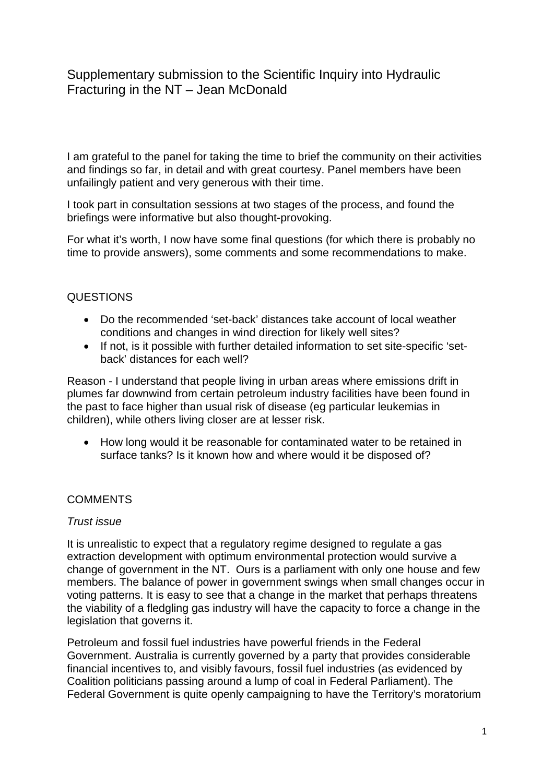# Supplementary submission to the Scientific Inquiry into Hydraulic Fracturing in the NT – Jean McDonald

I am grateful to the panel for taking the time to brief the community on their activities and findings so far, in detail and with great courtesy. Panel members have been unfailingly patient and very generous with their time.

I took part in consultation sessions at two stages of the process, and found the briefings were informative but also thought-provoking.

For what it's worth, I now have some final questions (for which there is probably no time to provide answers), some comments and some recommendations to make.

## **QUESTIONS**

- Do the recommended 'set-back' distances take account of local weather conditions and changes in wind direction for likely well sites?
- If not, is it possible with further detailed information to set site-specific 'setback' distances for each well?

Reason - I understand that people living in urban areas where emissions drift in plumes far downwind from certain petroleum industry facilities have been found in the past to face higher than usual risk of disease (eg particular leukemias in children), while others living closer are at lesser risk.

• How long would it be reasonable for contaminated water to be retained in surface tanks? Is it known how and where would it be disposed of?

## **COMMENTS**

#### *Trust issue*

It is unrealistic to expect that a regulatory regime designed to regulate a gas extraction development with optimum environmental protection would survive a change of government in the NT. Ours is a parliament with only one house and few members. The balance of power in government swings when small changes occur in voting patterns. It is easy to see that a change in the market that perhaps threatens the viability of a fledgling gas industry will have the capacity to force a change in the legislation that governs it.

Petroleum and fossil fuel industries have powerful friends in the Federal Government. Australia is currently governed by a party that provides considerable financial incentives to, and visibly favours, fossil fuel industries (as evidenced by Coalition politicians passing around a lump of coal in Federal Parliament). The Federal Government is quite openly campaigning to have the Territory's moratorium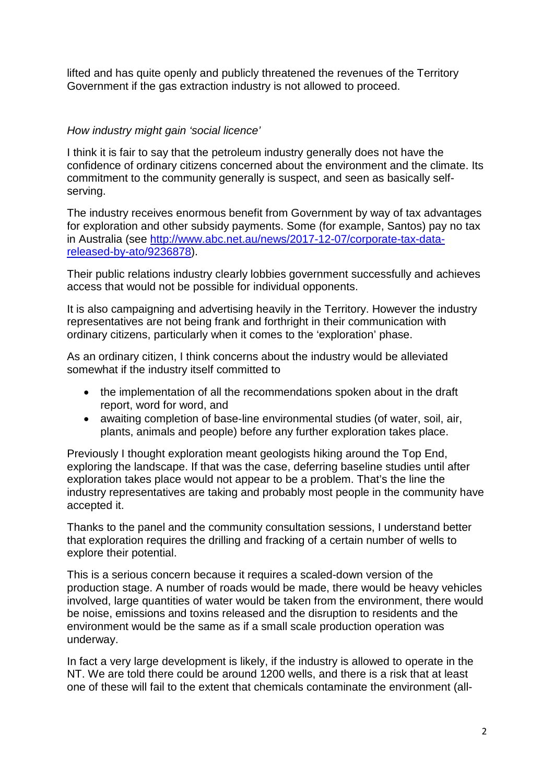lifted and has quite openly and publicly threatened the revenues of the Territory Government if the gas extraction industry is not allowed to proceed.

## *How industry might gain 'social licence'*

I think it is fair to say that the petroleum industry generally does not have the confidence of ordinary citizens concerned about the environment and the climate. Its commitment to the community generally is suspect, and seen as basically selfserving.

The industry receives enormous benefit from Government by way of tax advantages for exploration and other subsidy payments. Some (for example, Santos) pay no tax in Australia (see http://www.abc.net.au/news/2017-12-07/corporate-tax-datareleased-by-ato/9236878).

Their public relations industry clearly lobbies government successfully and achieves access that would not be possible for individual opponents.

It is also campaigning and advertising heavily in the Territory. However the industry representatives are not being frank and forthright in their communication with ordinary citizens, particularly when it comes to the 'exploration' phase.

As an ordinary citizen, I think concerns about the industry would be alleviated somewhat if the industry itself committed to

- the implementation of all the recommendations spoken about in the draft report, word for word, and
- awaiting completion of base-line environmental studies (of water, soil, air, plants, animals and people) before any further exploration takes place.

Previously I thought exploration meant geologists hiking around the Top End, exploring the landscape. If that was the case, deferring baseline studies until after exploration takes place would not appear to be a problem. That's the line the industry representatives are taking and probably most people in the community have accepted it.

Thanks to the panel and the community consultation sessions, I understand better that exploration requires the drilling and fracking of a certain number of wells to explore their potential.

This is a serious concern because it requires a scaled-down version of the production stage. A number of roads would be made, there would be heavy vehicles involved, large quantities of water would be taken from the environment, there would be noise, emissions and toxins released and the disruption to residents and the environment would be the same as if a small scale production operation was underway.

In fact a very large development is likely, if the industry is allowed to operate in the NT. We are told there could be around 1200 wells, and there is a risk that at least one of these will fail to the extent that chemicals contaminate the environment (all